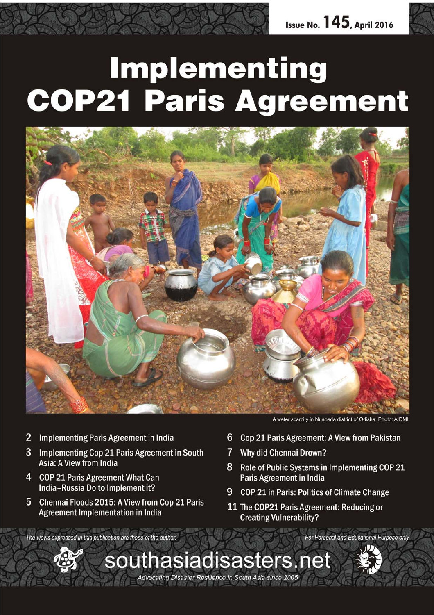# **Implementing COP21 Paris Agreement**



- $\overline{2}$ **Implementing Paris Agreement in India**
- 3 Implementing Cop 21 Paris Agreement in South Asia: A View from India
- 4 **COP 21 Paris Agreement What Can** India-Russia Do to Implement it?
- 5 Chennai Floods 2015: A View from Cop 21 Paris **Agreement Implementation in India**

A water scarcity in Nuapada district of Odisha, Photo: AIDMI

For Personal and Educational Purpose only

- 6 Cop 21 Paris Agreement: A View from Pakistan
- $7<sup>1</sup>$ **Why did Chennai Drown?**
- 8 Role of Public Systems in Implementing COP 21 **Paris Agreement in India**
- 9 COP 21 in Paris: Politics of Climate Change
- 11 The COP21 Paris Agreement: Reducing or **Creating Vulnerability?**

The views expressed in this publication are those of the author.



southasiadisasters.net Advocating Disaster Resilience in South Asia since 2005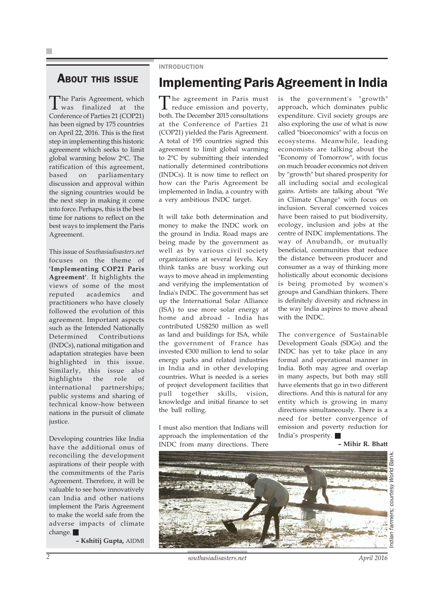### **ABOUT THIS ISSUE**

The Paris Agreement, which<br>was finalized at the Conference of Parties 21 (COP21) has been signed by 175 countries on April 22, 2016. This is the first step in implementing this historic agreement which seeks to limit global warming below 2°C. The ratification of this agreement, based on parliamentary discussion and approval within the signing countries would be the next step in making it come into force. Perhaps, this is the best time for nations to reflect on the best ways to implement the Paris Agreement.

This issue of *Southasiadisasters.net* focuses on the theme of **'Implementing COP21 Paris Agreement'**. It highlights the views of some of the most reputed academics and practitioners who have closely followed the evolution of this agreement. Important aspects such as the Intended Nationally Determined Contributions (INDCs), national mitigation and adaptation strategies have been highlighted in this issue. Similarly, this issue also highlights the role of international partnerships; public systems and sharing of technical know-how between nations in the pursuit of climate justice.

Developing countries like India have the additional onus of reconciling the development aspirations of their people with the commitments of the Paris Agreement. Therefore, it will be valuable to see how innovatively can India and other nations implement the Paris Agreement to make the world safe from the adverse impacts of climate change.

**– Kshitij Gupta,** AIDMI

### INTRODUCTION

### Implementing Paris Agreement in India

The agreement in Paris must reduce emission and poverty, both. The December 2015 consultations at the Conference of Parties 21 (COP21) yielded the Paris Agreement. A total of 195 countries signed this agreement to limit global warming to 2°C by submitting their intended nationally determined contributions (INDCs). It is now time to reflect on how can the Paris Agreement be implemented in India, a country with a very ambitious INDC target.

It will take both determination and money to make the INDC work on the ground in India. Road maps are being made by the government as well as by various civil society organizations at several levels. Key think tanks are busy working out ways to move ahead in implementing and verifying the implementation of India's INDC. The government has set up the International Solar Alliance (ISA) to use more solar energy at home and abroad - India has contributed US\$250 million as well as land and buildings for ISA, while the government of France has invested €300 million to lend to solar energy parks and related industries in India and in other developing countries. What is needed is a series of project development facilities that pull together skills, vision, knowledge and initial finance to set the ball rolling.

I must also mention that Indians will approach the implementation of the INDC from many directions. There is the government's "growth" approach, which dominates public expenditure. Civil society groups are also exploring the use of what is now called "bioeconomics" with a focus on ecosystems. Meanwhile, leading economists are talking about the "Economy of Tomorrow", with focus on much broader economics not driven by "growth" but shared prosperity for all including social and ecological gains. Artists are talking about "We in Climate Change" with focus on inclusion. Several concerned voices have been raised to put biodiversity, ecology, inclusion and jobs at the centre of INDC implementations. The way of Anubandh, or mutually beneficial, communities that reduce the distance between producer and consumer as a way of thinking more holistically about economic decisions is being promoted by women's groups and Gandhian thinkers. There is definitely diversity and richness in the way India aspires to move ahead with the INDC.

The convergence of Sustainable Development Goals (SDGs) and the INDC has yet to take place in any formal and operational manner in India. Both may agree and overlap in many aspects, but both may still have elements that go in two different directions. And this is natural for any entity which is growing in many directions simultaneously. There is a need for better convergence of emission and poverty reduction for India's prosperity.

**– Mihir R. Bhatt**



*2 southasiadisasters.net April 2016*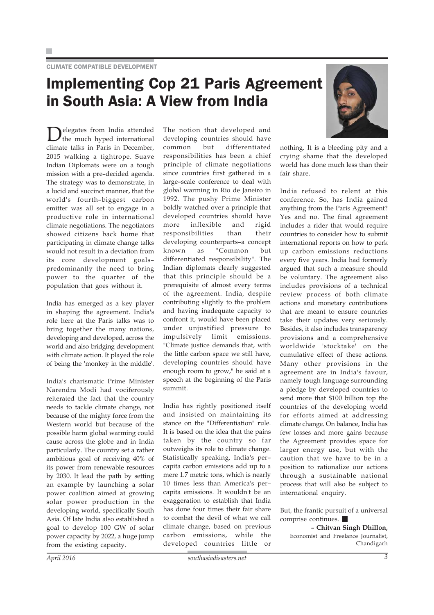## Implementing Cop 21 Paris Agreement in South Asia: A View from India

Delegates from India attended the much hyped international climate talks in Paris in December, 2015 walking a tightrope. Suave Indian Diplomats were on a tough mission with a pre–decided agenda. The strategy was to demonstrate, in a lucid and succinct manner, that the world's fourth–biggest carbon emitter was all set to engage in a productive role in international climate negotiations. The negotiators showed citizens back home that participating in climate change talks would not result in a deviation from its core development goals– predominantly the need to bring power to the quarter of the population that goes without it.

India has emerged as a key player in shaping the agreement. India's role here at the Paris talks was to bring together the many nations, developing and developed, across the world and also bridging development with climate action. It played the role of being the 'monkey in the middle'.

India's charismatic Prime Minister Narendra Modi had vociferously reiterated the fact that the country needs to tackle climate change, not because of the mighty force from the Western world but because of the possible harm global warming could cause across the globe and in India particularly. The country set a rather ambitious goal of receiving 40% of its power from renewable resources by 2030. It lead the path by setting an example by launching a solar power coalition aimed at growing solar power production in the developing world, specifically South Asia. Of late India also established a goal to develop 100 GW of solar power capacity by 2022, a huge jump from the existing capacity.

The notion that developed and developing countries should have common but differentiated responsibilities has been a chief principle of climate negotiations since countries first gathered in a large–scale conference to deal with global warming in Rio de Janeiro in 1992. The pushy Prime Minister boldly watched over a principle that developed countries should have more inflexible and rigid responsibilities than their developing counterparts–a concept known as "Common but differentiated responsibility". The Indian diplomats clearly suggested that this principle should be a prerequisite of almost every terms of the agreement. India, despite contributing slightly to the problem and having inadequate capacity to confront it, would have been placed under unjustified pressure to impulsively limit emissions. "Climate justice demands that, with the little carbon space we still have, developing countries should have enough room to grow," he said at a speech at the beginning of the Paris summit.

India has rightly positioned itself and insisted on maintaining its stance on the "Differentiation" rule. It is based on the idea that the pains taken by the country so far outweighs its role to climate change. Statistically speaking, India's per– capita carbon emissions add up to a mere 1.7 metric tons, which is nearly 10 times less than America's per– capita emissions. It wouldn't be an exaggeration to establish that India has done four times their fair share to combat the devil of what we call climate change, based on previous carbon emissions, while the developed countries little or



nothing. It is a bleeding pity and a crying shame that the developed world has done much less than their fair share.

India refused to relent at this conference. So, has India gained anything from the Paris Agreement? Yes and no. The final agreement includes a rider that would require countries to consider how to submit international reports on how to perk up carbon emissions reductions every five years. India had formerly argued that such a measure should be voluntary. The agreement also includes provisions of a technical review process of both climate actions and monetary contributions that are meant to ensure countries take their updates very seriously. Besides, it also includes transparency provisions and a comprehensive worldwide 'stocktake' on the cumulative effect of these actions. Many other provisions in the agreement are in India's favour, namely tough language surrounding a pledge by developed countries to send more that \$100 billion top the countries of the developing world for efforts aimed at addressing climate change. On balance, India has few losses and more gains because the Agreement provides space for larger energy use, but with the caution that we have to be in a position to rationalize our actions through a sustainable national process that will also be subject to international enquiry.

But, the frantic pursuit of a universal comprise continues.

**– Chitvan Singh Dhillon,** Economist and Freelance Journalist, Chandigarh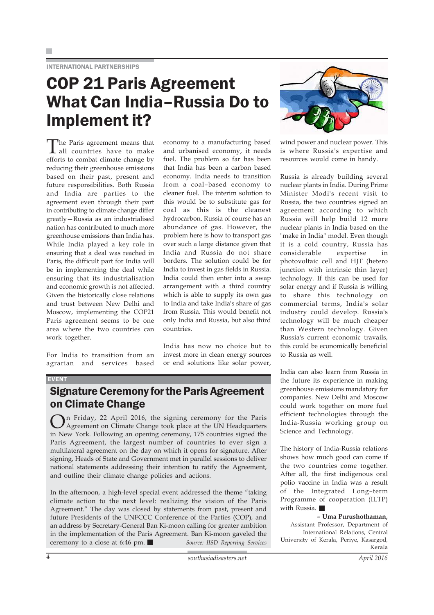INTERNATIONAL PARTNERSHIPS

## COP 21 Paris Agreement What Can India–Russia Do to Implement it?

The Paris agreement means that all countries have to make efforts to combat climate change by reducing their greenhouse emissions based on their past, present and future responsibilities. Both Russia and India are parties to the agreement even through their part in contributing to climate change differ greatly—Russia as an industrialised nation has contributed to much more greenhouse emissions than India has. While India played a key role in ensuring that a deal was reached in Paris, the difficult part for India will be in implementing the deal while ensuring that its industrialisation and economic growth is not affected. Given the historically close relations and trust between New Delhi and Moscow, implementing the COP21 Paris agreement seems to be one area where the two countries can work together.

For India to transition from an agrarian and services based economy to a manufacturing based and urbanised economy, it needs fuel. The problem so far has been that India has been a carbon based economy. India needs to transition from a coal–based economy to cleaner fuel. The interim solution to this would be to substitute gas for coal as this is the cleanest hydrocarbon. Russia of course has an abundance of gas. However, the problem here is how to transport gas over such a large distance given that India and Russia do not share borders. The solution could be for India to invest in gas fields in Russia. India could then enter into a swap arrangement with a third country which is able to supply its own gas to India and take India's share of gas from Russia. This would benefit not only India and Russia, but also third countries.

India has now no choice but to invest more in clean energy sources or end solutions like solar power,

### Signature Ceremony for the Paris Agreement on Climate Change

On Friday, 22 April 2016, the signing ceremony for the Paris Agreement on Climate Change took place at the UN Headquarters in New York. Following an opening ceremony, 175 countries signed the Paris Agreement, the largest number of countries to ever sign a multilateral agreement on the day on which it opens for signature. After signing, Heads of State and Government met in parallel sessions to deliver national statements addressing their intention to ratify the Agreement, and outline their climate change policies and actions.

In the afternoon, a high-level special event addressed the theme "taking climate action to the next level: realizing the vision of the Paris Agreement." The day was closed by statements from past, present and future Presidents of the UNFCCC Conference of the Parties (COP), and an address by Secretary-General Ban Ki-moon calling for greater ambition in the implementation of the Paris Agreement. Ban Ki-moon gaveled the ceremony to a close at 6:46 pm. *Source: IISD Reporting Services*



wind power and nuclear power. This is where Russia's expertise and resources would come in handy.

Russia is already building several nuclear plants in India. During Prime Minister Modi's recent visit to Russia, the two countries signed an agreement according to which Russia will help build 12 more nuclear plants in India based on the "make in India" model. Even though it is a cold country, Russia has considerable expertise in photovoltaic cell and HJT (hetero junction with intrinsic thin layer) technology. If this can be used for solar energy and if Russia is willing to share this technology on commercial terms, India's solar industry could develop. Russia's technology will be much cheaper than Western technology. Given Russia's current economic travails, this could be economically beneficial to Russia as well.

India can also learn from Russia in the future its experience in making greenhouse emissions mandatory for companies. New Delhi and Moscow could work together on more fuel efficient technologies through the India-Russia working group on Science and Technology.

The history of India-Russia relations shows how much good can come if the two countries come together. After all, the first indigenous oral polio vaccine in India was a result of the Integrated Long–term Programme of cooperation (ILTP) with Russia.

**– Uma Purushothaman,** Assistant Professor, Department of International Relations, Central University of Kerala, Periye, Kasargod, Kerala

EVENT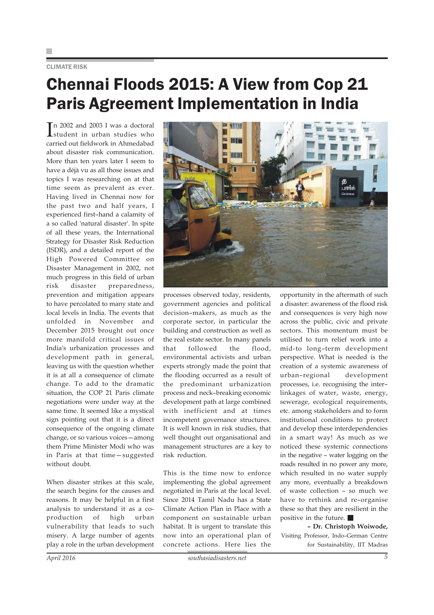### CLIMATE RISK

## Chennai Floods 2015: A View from Cop 21 Paris Agreement Implementation in India

In 2002 and 2003 I was a doctoral<br>student in urban studies who student in urban studies who carried out fieldwork in Ahmedabad about disaster risk communication. More than ten years later I seem to have a déjà vu as all those issues and topics I was researching on at that time seem as prevalent as ever. Having lived in Chennai now for the past two and half years, I experienced first–hand a calamity of a so called 'natural disaster'. In spite of all these years, the International Strategy for Disaster Risk Reduction (ISDR), and a detailed report of the High Powered Committee on Disaster Management in 2002, not much progress in this field of urban risk disaster preparedness, prevention and mitigation appears to have percolated to many state and local levels in India. The events that unfolded in November and December 2015 brought out once more manifold critical issues of India's urbanization processes and development path in general, leaving us with the question whether it is at all a consequence of climate change. To add to the dramatic situation, the COP 21 Paris climate negotiations were under way at the same time. It seemed like a mystical sign pointing out that it is a direct consequence of the ongoing climate change, or so various voices—among them Prime Minister Modi who was in Paris at that time—suggested without doubt.

When disaster strikes at this scale, the search begins for the causes and reasons. It may be helpful in a first analysis to understand it as a coproduction of high urban vulnerability that leads to such misery. A large number of agents play a role in the urban development



processes observed today, residents, government agencies and political decision–makers, as much as the corporate sector, in particular the building and construction as well as the real estate sector. In many panels that followed the flood, environmental activists and urban experts strongly made the point that the flooding occurred as a result of the predominant urbanization process and neck–breaking economic development path at large combined with inefficient and at times incompetent governance structures. It is well known in risk studies, that well thought out organisational and management structures are a key to risk reduction.

This is the time now to enforce implementing the global agreement negotiated in Paris at the local level. Since 2014 Tamil Nadu has a State Climate Action Plan in Place with a component on sustainable urban habitat. It is urgent to translate this now into an operational plan of concrete actions. Here lies the

opportunity in the aftermath of such a disaster: awareness of the flood risk and consequences is very high now across the public, civic and private sectors. This momentum must be utilised to turn relief work into a mid-to long–term development perspective. What is needed is the creation of a systemic awareness of urban–regional development processes, i.e. recognising the inter– linkages of water, waste, energy, sewerage, ecological requirements, etc. among stakeholders and to form institutional conditions to protect and develop these interdependencies in a smart way! As much as we noticed these systemic connections in the negative – water logging on the roads resulted in no power any more, which resulted in no water supply any more, eventually a breakdown of waste collection – so much we have to rethink and re–organise these so that they are resilient in the positive in the future.

**– Dr. Christoph Woiwode,** Visiting Professor, Indo–German Centre for Sustainability, IIT Madras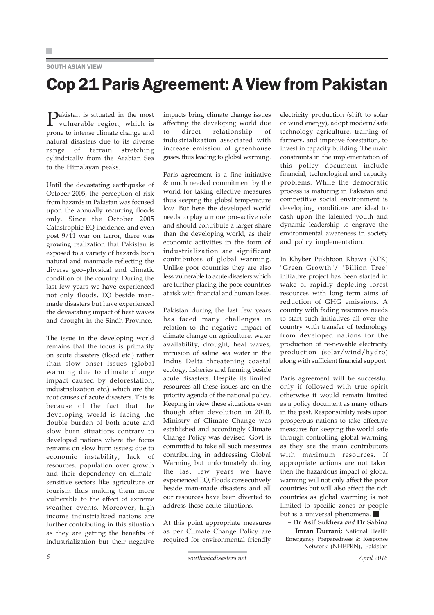### SOUTH ASIAN VIEW

## Cop 21 Paris Agreement: A View from Pakistan

Pakistan is situated in the most vulnerable region, which is prone to intense climate change and natural disasters due to its diverse range of terrain stretching cylindrically from the Arabian Sea to the Himalayan peaks.

Until the devastating earthquake of October 2005, the perception of risk from hazards in Pakistan was focused upon the annually recurring floods only. Since the October 2005 Catastrophic EQ incidence, and even post 9/11 war on terror, there was growing realization that Pakistan is exposed to a variety of hazards both natural and manmade reflecting the diverse geo–physical and climatic condition of the country. During the last few years we have experienced not only floods, EQ beside manmade disasters but have experienced the devastating impact of heat waves and drought in the Sindh Province.

The issue in the developing world remains that the focus is primarily on acute disasters (flood etc.) rather than slow onset issues (global warming due to climate change impact caused by deforestation, industrialization etc.) which are the root causes of acute disasters. This is because of the fact that the developing world is facing the double burden of both acute and slow burn situations contrary to developed nations where the focus remains on slow burn issues; due to economic instability, lack of resources, population over growth and their dependency on climatesensitive sectors like agriculture or tourism thus making them more vulnerable to the effect of extreme weather events. Moreover, high income industrialized nations are further contributing in this situation as they are getting the benefits of industrialization but their negative impacts bring climate change issues affecting the developing world due to direct relationship of industrialization associated with increase emission of greenhouse gases, thus leading to global warming.

Paris agreement is a fine initiative & much needed commitment by the world for taking effective measures thus keeping the global temperature low. But here the developed world needs to play a more pro–active role and should contribute a larger share than the developing world, as their economic activities in the form of industrialization are significant contributors of global warming. Unlike poor countries they are also less vulnerable to acute disasters which are further placing the poor countries at risk with financial and human loses.

Pakistan during the last few years has faced many challenges in relation to the negative impact of climate change on agriculture, water availability, drought, heat waves, intrusion of saline sea water in the Indus Delta threatening coastal ecology, fisheries and farming beside acute disasters. Despite its limited resources all these issues are on the priority agenda of the national policy. Keeping in view these situations even though after devolution in 2010, Ministry of Climate Change was established and accordingly Climate Change Policy was devised. Govt is committed to take all such measures contributing in addressing Global Warming but unfortunately during the last few years we have experienced EQ, floods consecutively beside man-made disasters and all our resources have been diverted to address these acute situations.

At this point appropriate measures as per Climate Change Policy are required for environmental friendly electricity production (shift to solar or wind energy), adopt modern/safe technology agriculture, training of farmers, and improve forestation, to invest in capacity building. The main constraints in the implementation of this policy document include financial, technological and capacity problems. While the democratic process is maturing in Pakistan and competitive social environment is developing, conditions are ideal to cash upon the talented youth and dynamic leadership to engrave the environmental awareness in society and policy implementation.

In Khyber Pukhtoon Khawa (KPK) "Green Growth"/ "Billion Tree" initiative project has been started in wake of rapidly depleting forest resources with long term aims of reduction of GHG emissions. A country with fading resources needs to start such initiatives all over the country with transfer of technology from developed nations for the production of re-newable electricity production (solar/wind/hydro) along with sufficient financial support.

Paris agreement will be successful only if followed with true spirit otherwise it would remain limited as a policy document as many others in the past. Responsibility rests upon prosperous nations to take effective measures for keeping the world safe through controlling global warming as they are the main contributors with maximum resources. If appropriate actions are not taken then the hazardous impact of global warming will not only affect the poor countries but will also affect the rich countries as global warming is not limited to specific zones or people but is a universal phenomena.

**– Dr Asif Sukhera** *and* **Dr Sabina Imran Durrani;** National Health Emergency Preparedness & Response Network (NHEPRN), Pakistan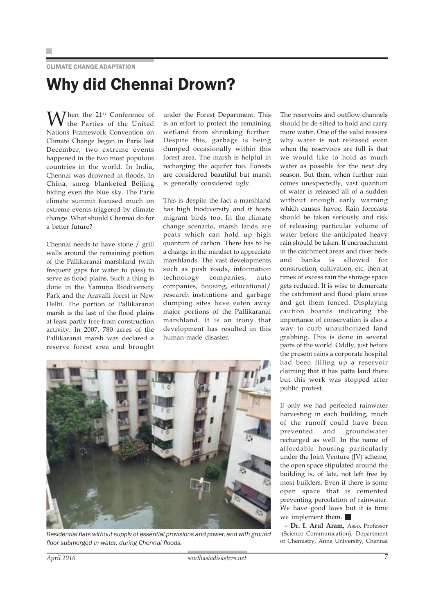### CLIMATE CHANGE ADAPTATION

## Why did Chennai Drown?

Then the 21<sup>st</sup> Conference of the Parties of the United Nations Framework Convention on Climate Change began in Paris last December, two extreme events happened in the two most populous countries in the world. In India, Chennai was drowned in floods. In China, smog blanketed Beijing hiding even the blue sky. The Paris climate summit focused much on extreme events triggered by climate change. What should Chennai do for a better future?

Chennai needs to have stone / grill walls around the remaining portion of the Pallikaranai marshland (with frequent gaps for water to pass) to serve as flood plains. Such a thing is done in the Yamuna Biodiversity Park and the Aravalli forest in New Delhi. The portion of Pallikaranai marsh is the last of the flood plains at least partly free from construction activity. In 2007, 780 acres of the Pallikaranai marsh was declared a reserve forest area and brought under the Forest Department. This is an effort to protect the remaining wetland from shrinking further. Despite this, garbage is being dumped occasionally within this forest area. The marsh is helpful in recharging the aquifer too. Forests are considered beautiful but marsh is generally considered ugly.

This is despite the fact a marshland has high biodiversity and it hosts migrant birds too. In the climate change scenario, marsh lands are peats which can hold up high quantum of carbon. There has to be a change in the mindset to appreciate marshlands. The vast developments such as posh roads, information technology companies, auto companies, housing, educational/ research institutions and garbage dumping sites have eaten away major portions of the Pallikaranai marshland. It is an irony that development has resulted in this human-made disaster.

The reservoirs and outflow channels should be de-silted to hold and carry more water. One of the valid reasons why water is not released even when the reservoirs are full is that we would like to hold as much water as possible for the next dry season. But then, when further rain comes unexpectedly, vast quantum of water is released all of a sudden without enough early warning which causes havoc. Rain forecasts should be taken seriously and risk of releasing particular volume of water before the anticipated heavy rain should be taken. If encroachment in the catchment areas and river beds and banks is allowed for construction, cultivation, etc, then at times of excess rain the storage space gets reduced. It is wise to demarcate the catchment and flood plain areas and get them fenced. Displaying caution boards indicating the importance of conservation is also a way to curb unauthorized land grabbing. This is done in several parts of the world. Oddly, just before the present rains a corporate hospital had been filling up a reservoir claiming that it has patta land there but this work was stopped after public protest.

If only we had perfected rainwater harvesting in each building, much of the runoff could have been prevented and groundwater recharged as well. In the name of affordable housing particularly under the Joint Venture (JV) scheme, the open space stipulated around the building is, of late, not left free by most builders. Even if there is some open space that is cemented preventing percolation of rainwater. We have good laws but it is time we implement them.

**– Dr. I. Arul Aram,** Asso. Professor (Science Communication), Department of Chemistry, Anna University, Chennai

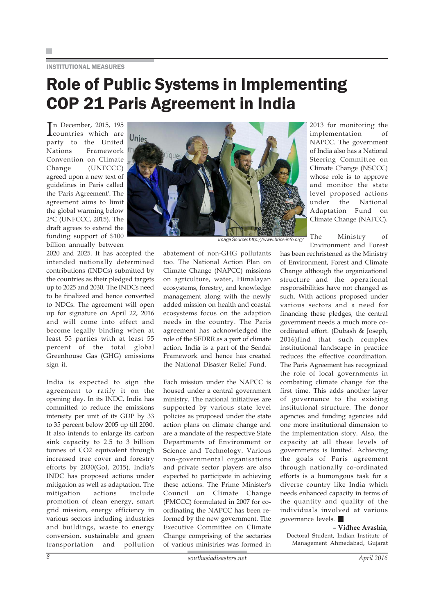INSTITUTIONAL MEASURES

## Role of Public Systems in Implementing COP 21 Paris Agreement in India

In December, 2015, 195 countries which are party to the United Nations Framework Convention on Climate Change (UNFCCC) agreed upon a new text of guidelines in Paris called the 'Paris Agreement'. The agreement aims to limit the global warming below 2°C (UNFCCC, 2015). The draft agrees to extend the funding support of \$100 billion annually between

2020 and 2025. It has accepted the intended nationally determined contributions (INDCs) submitted by the countries as their pledged targets up to 2025 and 2030. The INDCs need to be finalized and hence converted to NDCs. The agreement will open up for signature on April 22, 2016 and will come into effect and become legally binding when at least 55 parties with at least 55 percent of the total global Greenhouse Gas (GHG) emissions sign it.

India is expected to sign the agreement to ratify it on the opening day. In its INDC, India has committed to reduce the emissions intensity per unit of its GDP by 33 to 35 percent below 2005 up till 2030. It also intends to enlarge its carbon sink capacity to 2.5 to 3 billion tonnes of CO2 equivalent through increased tree cover and forestry efforts by 2030(GoI, 2015). India's INDC has proposed actions under mitigation as well as adaptation. The mitigation actions include promotion of clean energy, smart grid mission, energy efficiency in various sectors including industries and buildings, waste to energy conversion, sustainable and green transportation and pollution



*Image Source: http://www.brics-info.org/*

abatement of non-GHG pollutants too. The National Action Plan on Climate Change (NAPCC) missions on agriculture, water, Himalayan ecosystems, forestry, and knowledge management along with the newly added mission on health and coastal ecosystems focus on the adaption needs in the country. The Paris agreement has acknowledged the role of the SFDRR as a part of climate action. India is a part of the Sendai Framework and hence has created the National Disaster Relief Fund.

Each mission under the NAPCC is housed under a central government ministry. The national initiatives are supported by various state level policies as proposed under the state action plans on climate change and are a mandate of the respective State Departments of Environment or Science and Technology. Various non-governmental organisations and private sector players are also expected to participate in achieving these actions. The Prime Minister's Council on Climate Change (PMCCC) formulated in 2007 for coordinating the NAPCC has been reformed by the new government. The Executive Committee on Climate Change comprising of the sectaries of various ministries was formed in

2013 for monitoring the implementation of NAPCC. The government of India also has a National Steering Committee on Climate Change (NSCCC) whose role is to approve and monitor the state level proposed actions under the National Adaptation Fund on Climate Change (NAFCC).

The Ministry of Environment and Forest

has been rechristened as the Ministry of Environment, Forest and Climate Change although the organizational structure and the operational responsibilities have not changed as such. With actions proposed under various sectors and a need for financing these pledges, the central government needs a much more coordinated effort. (Dubash & Joseph, 2016)find that such complex institutional landscape in practice reduces the effective coordination. The Paris Agreement has recognized the role of local governments in combating climate change for the first time. This adds another layer of governance to the existing institutional structure. The donor agencies and funding agencies add one more institutional dimension to the implementation story. Also, the capacity at all these levels of governments is limited. Achieving the goals of Paris agreement through nationally co-ordinated efforts is a humongous task for a diverse country like India which needs enhanced capacity in terms of the quantity and quality of the individuals involved at various governance levels.

### **– Vidhee Avashia,**

Doctoral Student, Indian Institute of Management Ahmedabad, Gujarat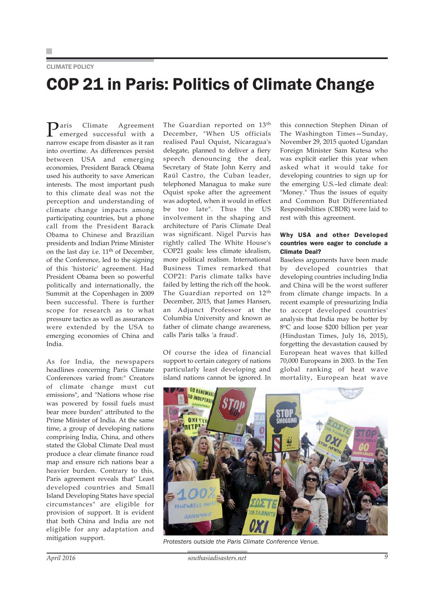CLIMATE POLICY

## COP 21 in Paris: Politics of Climate Change

**P**aris Climate Agreement<br>
emerged successful with a narrow escape from disaster as it ran into overtime. As differences persist between USA and emerging economies, President Barack Obama used his authority to save American interests. The most important push to this climate deal was not the perception and understanding of climate change impacts among participating countries, but a phone call from the President Barack Obama to Chinese and Brazilian presidents and Indian Prime Minister on the last day i.e.  $11<sup>th</sup>$  of December, of the Conference, led to the signing of this 'historic' agreement. Had President Obama been so powerful politically and internationally, the Summit at the Copenhagen in 2009 been successful. There is further scope for research as to what pressure tactics as well as assurances were extended by the USA to emerging economies of China and India.

As for India, the newspapers headlines concerning Paris Climate Conferences varied from:" Creators of climate change must cut emissions", and "Nations whose rise was powered by fossil fuels must bear more burden" attributed to the Prime Minister of India. At the same time, a group of developing nations comprising India, China, and others stated the Global Climate Deal must produce a clear climate finance road map and ensure rich nations bear a heavier burden. Contrary to this, Paris agreement reveals that" Least developed countries and Small Island Developing States have special circumstances" are eligible for provision of support. It is evident that both China and India are not eligible for any adaptation and mitigation support.

The Guardian reported on 13<sup>th</sup> December, "When US officials realised Paul Oquist, Nicaragua's delegate, planned to deliver a fiery speech denouncing the deal, Secretary of State John Kerry and Raúl Castro, the Cuban leader, telephoned Managua to make sure Oquist spoke after the agreement was adopted, when it would in effect be too late". Thus the US involvement in the shaping and architecture of Paris Climate Deal was significant. Nigel Purvis has rightly called The White House's COP21 goals: less climate idealism, more political realism. International Business Times remarked that COP21: Paris climate talks have failed by letting the rich off the hook. The Guardian reported on 12<sup>th</sup> December, 2015, that James Hansen, an Adjunct Professor at the Columbia University and known as father of climate change awareness, calls Paris talks 'a fraud'.

Of course the idea of financial support to certain category of nations particularly least developing and island nations cannot be ignored. In

this connection Stephen Dinan of The Washington Times—Sunday, November 29, 2015 quoted Ugandan Foreign Minister Sam Kutesa who was explicit earlier this year when asked what it would take for developing countries to sign up for the emerging U.S.–led climate deal: "Money." Thus the issues of equity and Common But Differentiated Responsibilities (CBDR) were laid to rest with this agreement.

### Why USA and other Developed countries were eager to conclude a Climate Deal?

Baseless arguments have been made by developed countries that developing countries including India and China will be the worst sufferer from climate change impacts. In a recent example of pressurizing India to accept developed countries' analysis that India may be hotter by 8oC and loose \$200 billion per year (Hindustan Times, July 16, 2015), forgetting the devastation caused by European heat waves that killed 70,000 Europeans in 2003. In the Ten global ranking of heat wave mortality, European heat wave



*Protesters outside the Paris Climate Conference Venue.*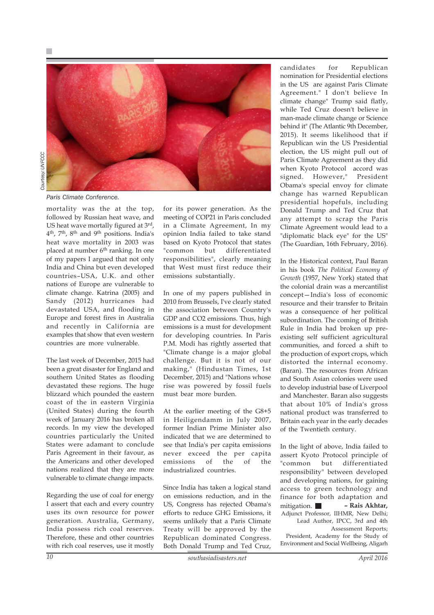

*Paris Climate Conference.*

mortality was the at the top, followed by Russian heat wave, and US heat wave mortally figured at 3<sup>rd</sup>, 4th, 7th, 8th and 9th positions. India's heat wave mortality in 2003 was placed at number 6<sup>th</sup> ranking. In one of my papers I argued that not only India and China but even developed countries–USA, U.K. and other nations of Europe are vulnerable to climate change. Katrina (2005) and Sandy (2012) hurricanes had devastated USA, and flooding in Europe and forest fires in Australia and recently in California are examples that show that even western countries are more vulnerable.

The last week of December, 2015 had been a great disaster for England and southern United States as flooding devastated these regions. The huge blizzard which pounded the eastern coast of the in eastern Virginia (United States) during the fourth week of January 2016 has broken all records. In my view the developed countries particularly the United States were adamant to conclude Paris Agreement in their favour, as the Americans and other developed nations realized that they are more vulnerable to climate change impacts.

Regarding the use of coal for energy I assert that each and every country uses its own resource for power generation. Australia, Germany, India possess rich coal reserves. Therefore, these and other countries with rich coal reserves, use it mostly

for its power generation. As the meeting of COP21 in Paris concluded in a Climate Agreement, In my opinion India failed to take stand based on Kyoto Protocol that states "common but differentiated responsibilities", clearly meaning that West must first reduce their emissions substantially.

In one of my papers published in 2010 from Brussels, I've clearly stated the association between Country's GDP and CO2 emissions. Thus, high emissions is a must for development for developing countries. In Paris P.M. Modi has rightly asserted that "Climate change is a major global challenge. But it is not of our making," (Hindustan Times, 1st December, 2015) and "Nations whose rise was powered by fossil fuels must bear more burden.

At the earlier meeting of the G8+5 in Heiligendamm in July 2007, former Indian Prime Minister also indicated that we are determined to see that India's per capita emissions never exceed the per capita emissions of the of the industrialized countries.

Since India has taken a logical stand on emissions reduction, and in the US, Congress has rejected Obama's efforts to reduce GHG Emissions, it seems unlikely that a Paris Climate Treaty will be approved by the Republican dominated Congress. Both Donald Trump and Ted Cruz,

candidates for Republican nomination for Presidential elections in the US are against Paris Climate Agreement." I don't believe In climate change" Trump said flatly, while Ted Cruz doesn't believe in man-made climate change or Science behind it" (The Atlantic 9th December, 2015). It seems likelihood that if Republican win the US Presidential election, the US might pull out of Paris Climate Agreement as they did when Kyoto Protocol accord was signed. However," President Obama's special envoy for climate change has warned Republican presidential hopefuls, including Donald Trump and Ted Cruz that any attempt to scrap the Paris Climate Agreement would lead to a "diplomatic black eye" for the US" (The Guardian, 16th February, 2016).

In the Historical context, Paul Baran in his book *The Political Economy of Growth* (1957, New York) stated that the colonial drain was a mercantilist concept—India's loss of economic resource and their transfer to Britain was a consequence of her political subordination. The coming of British Rule in India had broken up preexisting self sufficient agricultural communities, and forced a shift to the production of export crops, which distorted the internal economy. (Baran). The resources from African and South Asian colonies were used to develop industrial base of Liverpool and Manchester. Baran also suggests that about 10% of India's gross national product was transferred to Britain each year in the early decades of the Twentieth century.

In the light of above, India failed to assert Kyoto Protocol principle of "common but differentiated responsibility" between developed and developing nations, for gaining access to green technology and finance for both adaptation and mitigation. **– Rais Akhtar,** Adjunct Professor, IIHMR, New Delhi; Lead Author, IPCC, 3rd and 4th Assessment Reports; President, Academy for the Study of Environment and Social Wellbeing, Aligarh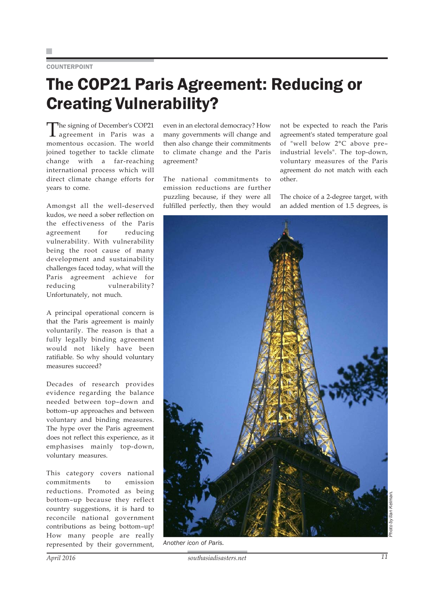### COUNTERPOINT

## The COP21 Paris Agreement: Reducing or Creating Vulnerability?

The signing of December's COP21<br>agreement in Paris was a momentous occasion. The world joined together to tackle climate change with a far-reaching international process which will direct climate change efforts for years to come.

Amongst all the well-deserved kudos, we need a sober reflection on the effectiveness of the Paris agreement for reducing vulnerability. With vulnerability being the root cause of many development and sustainability challenges faced today, what will the Paris agreement achieve for reducing vulnerability? Unfortunately, not much.

A principal operational concern is that the Paris agreement is mainly voluntarily. The reason is that a fully legally binding agreement would not likely have been ratifiable. So why should voluntary measures succeed?

Decades of research provides evidence regarding the balance needed between top–down and bottom–up approaches and between voluntary and binding measures. The hype over the Paris agreement does not reflect this experience, as it emphasises mainly top-down, voluntary measures.

This category covers national commitments to emission reductions. Promoted as being bottom–up because they reflect country suggestions, it is hard to reconcile national government contributions as being bottom–up! How many people are really represented by their government, even in an electoral democracy? How many governments will change and then also change their commitments to climate change and the Paris agreement?

The national commitments to emission reductions are further puzzling because, if they were all fulfilled perfectly, then they would not be expected to reach the Paris agreement's stated temperature goal of "well below 2°C above pre– industrial levels". The top-down, voluntary measures of the Paris agreement do not match with each other.

The choice of a 2-degree target, with an added mention of 1.5 degrees, is



*Another icon of Paris.*